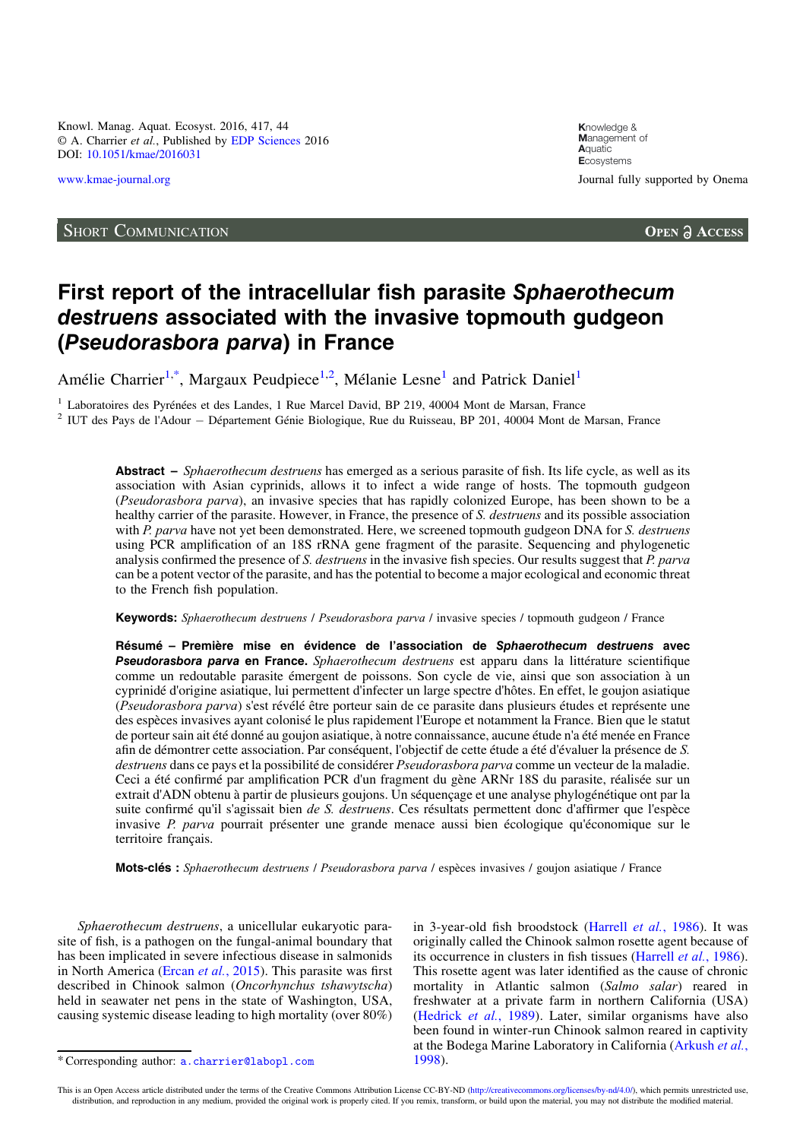Knowl. Manag. Aquat. Ecosyst. 2016, 417, 44 © A. Charrier et al., Published by E[DP Sciences](www.edpsciences.org) 2016 DOI: [10.1051/kmae/2016031](http://dx.doi.org/10.1051/kmae/2016031)

## SHORT COMMUNICATION

**K**nowledge & **M**anagement of **A**quatic **E**cosystems [www.kmae-journal.org](http://www.kmae-journal.org) **Value 2018** Journal fully supported by Onema

**OPEN A ACCESS** 

## First report of the intracellular fish parasite Sphaerothecum destruens associated with the invasive topmouth gudgeon (Pseudorasbora parva) in France

Amélie Charrier<sup>1,\*</sup>, Margaux Peudpiece<sup>1,2</sup>, Mélanie Lesne<sup>1</sup> and Patrick Daniel<sup>1</sup>

<sup>1</sup> Laboratoires des Pyrénées et des Landes, 1 Rue Marcel David, BP 219, 40004 Mont de Marsan, France  $\frac{2}{\text{IUT}}$  des Pays de l'Adour  $-$  Département Génie Biologique, Rue du Ruisseau, BP 201, 40004 Mont de Marsan, Fran

Abstract – *Sphaerothecum destruens* has emerged as a serious parasite of fish. Its life cycle, as well as its association with Asian cyprinids, allows it to infect a wide range of hosts. The topmouth gudgeon (Pseudorasbora parva), an invasive species that has rapidly colonized Europe, has been shown to be a healthy carrier of the parasite. However, in France, the presence of S. *destruens* and its possible association with  $\ddot{P}$ . parva have not yet been demonstrated. Here, we screened topmouth gudgeon DNA for S. *destruens* using PCR amplification of an 18S rRNA gene fragment of the parasite. Sequencing and phylogenetic analysis confirmed the presence of S. destruens in the invasive fish species. Our results suggest that P. parva can be a potent vector of the parasite, and has the potential to become a major ecological and economic threat to the French fish population.

Keywords: Sphaerothecum destruens / Pseudorasbora parva / invasive species / topmouth gudgeon / France

Résumé – Première mise en évidence de l'association de Sphaerothecum destruens avec Pseudorasbora parva en France. Sphaerothecum destruens est apparu dans la littérature scientifique comme un redoutable parasite émergent de poissons. Son cycle de vie, ainsi que son association à un cyprinidé d'origine asiatique, lui permettent d'infecter un large spectre d'hôtes. En effet, le goujon asiatique (Pseudorasbora parva) s'est révélé être porteur sain de ce parasite dans plusieurs études et représente une des espèces invasives ayant colonisé le plus rapidement l'Europe et notamment la France. Bien que le statut de porteur sain ait été donné au goujon asiatique, à notre connaissance, aucune étude n'a été menée en France afin de démontrer cette association. Par conséquent, l'objectif de cette étude a été d'évaluer la présence de S. destruens dans ce pays et la possibilité de considérer Pseudorasbora parva comme un vecteur de la maladie. Ceci a été confirmé par amplification PCR d'un fragment du gène ARNr 18S du parasite, réalisée sur un extrait d'ADN obtenu à partir de plusieurs goujons. Un séquençage et une analyse phylogénétique ont par la suite confirmé qu'il s'agissait bien *de S. destruens*. Ces résultats permettent donc d'affirmer que l'espèce invasive *P. parva* pourrait présenter une grande menace aussi bien écologique qu'économique sur le territoire français.

Mots-clés : Sphaerothecum destruens / Pseudorasbora parva / espèces invasives / goujon asiatique / France

Sphaerothecum destruens, a unicellular eukaryotic parasite of fish, is a pathogen on the fungal-animal boundary that has been implicated in severe infectious disease in salmonids in North America (Ercan et al.[, 2015](#page-3-0)). This parasite was first described in Chinook salmon (Oncorhynchus tshawytscha) held in seawater net pens in the state of Washington, USA, causing systemic disease leading to high mortality (over 80%) in 3-year-old fish broodstock ([Harrell](#page-3-0) et al., 1986). It was originally called the Chinook salmon rosette agent because of its occurrence in clusters in fish tissues ([Harrell](#page-3-0) et al., 1986). This rosette agent was later identified as the cause of chronic mortality in Atlantic salmon (Salmo salar) reared in freshwater at a private farm in northern California (USA) ([Hedrick](#page-3-0) et al., 1989). Later, similar organisms have also been found in winter-run Chinook salmon reared in captivity at the Bodega Marine Laboratory in California [\(Arkush](#page-3-0) et al.,

This is an Open Access article distributed under the terms of the Creative Commons Attribution License CC-BY-ND (<http://creativecommons.org/licenses/by-nd/4.0/>), which permits unrestricted use, distribution, and reproduction in any medium, provided the original work is properly cited. If you remix, transform, or build upon the material, you may not distribute the modified material.

<sup>\*</sup>Corresponding author: [a.charrier@labopl.com](mailto:a.charrier@labopl.com) [1998\)](#page-3-0).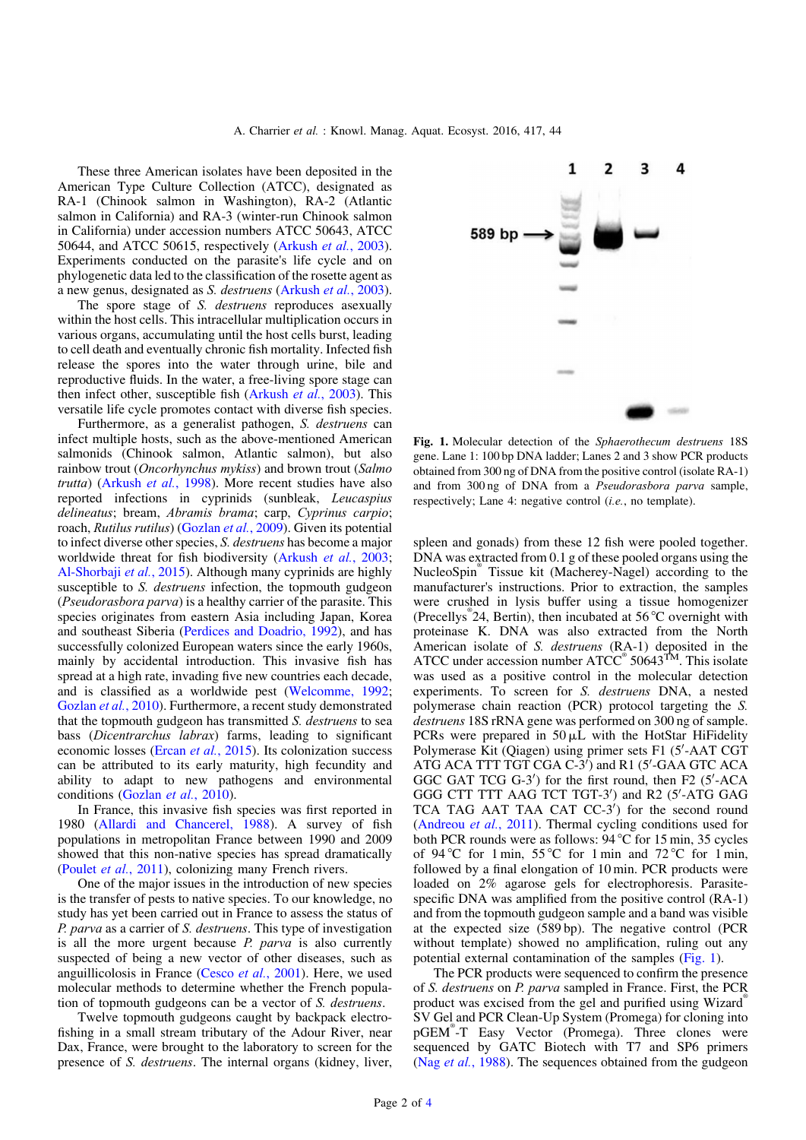These three American isolates have been deposited in the American Type Culture Collection (ATCC), designated as RA-1 (Chinook salmon in Washington), RA-2 (Atlantic salmon in California) and RA-3 (winter-run Chinook salmon in California) under accession numbers ATCC 50643, ATCC 50644, and ATCC 50615, respectively [\(Arkush](#page-3-0) et al., 2003). Experiments conducted on the parasite's life cycle and on phylogenetic data led to the classification of the rosette agent as a new genus, designated as S. destruens [\(Arkush](#page-3-0) et al., 2003).

The spore stage of S. *destruens* reproduces asexually within the host cells. This intracellular multiplication occurs in various organs, accumulating until the host cells burst, leading to cell death and eventually chronic fish mortality. Infected fish release the spores into the water through urine, bile and reproductive fluids. In the water, a free-living spore stage can then infect other, susceptible fish ([Arkush](#page-3-0) et al., 2003). This versatile life cycle promotes contact with diverse fish species.

Furthermore, as a generalist pathogen, S. destruens can infect multiple hosts, such as the above-mentioned American salmonids (Chinook salmon, Atlantic salmon), but also rainbow trout (Oncorhynchus mykiss) and brown trout (Salmo trutta) [\(Arkush](#page-3-0) et al., 1998). More recent studies have also reported infections in cyprinids (sunbleak, Leucaspius delineatus; bream, Abramis brama; carp, Cyprinus carpio; roach, Rutilus rutilus) [\(Gozlan](#page-3-0) et al., 2009). Given its potential to infect diverse other species, S. destruens has become a major worldwide threat for fish biodiversity [\(Arkush](#page-3-0) *et al.*, 2003; [Al-Shorbaji](#page-3-0) et al., 2015). Although many cyprinids are highly susceptible to S. *destruens* infection, the topmouth gudgeon (Pseudorasbora parva) is a healthy carrier of the parasite. This species originates from eastern Asia including Japan, Korea and southeast Siberia ([Perdices and Doadrio, 1992](#page-3-0)), and has successfully colonized European waters since the early 1960s, mainly by accidental introduction. This invasive fish has spread at a high rate, invading five new countries each decade, and is classified as a worldwide pest [\(Welcomme, 1992](#page-3-0); [Gozlan](#page-3-0) et al., 2010). Furthermore, a recent study demonstrated that the topmouth gudgeon has transmitted S. destruens to sea bass (Dicentrarchus labrax) farms, leading to significant economic losses (Ercan et al.[, 2015](#page-3-0)). Its colonization success can be attributed to its early maturity, high fecundity and ability to adapt to new pathogens and environmental conditions ([Gozlan](#page-3-0) et al., 2010).

In France, this invasive fish species was first reported in 1980 ([Allardi and Chancerel, 1988](#page-3-0)). A survey of fish populations in metropolitan France between 1990 and 2009 showed that this non-native species has spread dramatically (Poulet et al.[, 2011](#page-3-0)), colonizing many French rivers.

One of the major issues in the introduction of new species is the transfer of pests to native species. To our knowledge, no study has yet been carried out in France to assess the status of P. parva as a carrier of S. destruens. This type of investigation is all the more urgent because *P. parva* is also currently suspected of being a new vector of other diseases, such as anguillicolosis in France (Cesco et al.[, 2001\)](#page-3-0). Here, we used molecular methods to determine whether the French population of topmouth gudgeons can be a vector of S. destruens.

Twelve topmouth gudgeons caught by backpack electrofishing in a small stream tributary of the Adour River, near Dax, France, were brought to the laboratory to screen for the presence of S. destruens. The internal organs (kidney, liver,



Fig. 1. Molecular detection of the Sphaerothecum destruens 18S gene. Lane 1: 100 bp DNA ladder; Lanes 2 and 3 show PCR products obtained from 300 ng of DNA from the positive control (isolate RA-1) and from 300 ng of DNA from a Pseudorasbora parva sample, respectively; Lane 4: negative control (*i.e.*, no template).

spleen and gonads) from these 12 fish were pooled together. DNA was extracted from 0.1 g of these pooled organs using the NucleoSpin® Tissue kit (Macherey-Nagel) according to the manufacturer's instructions. Prior to extraction, the samples were crushed in lysis buffer using a tissue homogenizer (Precellys® 24, Bertin), then incubated at 56 °C overnight with proteinase K. DNA was also extracted from the North American isolate of S. *destruens* (RA-1) deposited in the ATCC under accession number  $ATCC^{\circ}$  50643<sup>TM</sup>. This isolate was used as a positive control in the molecular detection experiments. To screen for S. destruens DNA, a nested polymerase chain reaction (PCR) protocol targeting the S. destruens 18S rRNA gene was performed on 300 ng of sample. PCRs were prepared in  $50 \mu L$  with the HotStar HiFidelity Polymerase Kit (Qiagen) using primer sets F1 (5'-AAT CGT ATG ACA TTT TGT CGA C-3') and R1 (5'-GAA GTC ACA GGC GAT TCG G-3') for the first round, then F2 (5'-ACA GGG CTT TTT AAG TCT TGT-3') and R2 (5'-ATG GAG TCA TAG AAT TAA CAT CC-3') for the second round ([Andreou](#page-3-0) et al., 2011). Thermal cycling conditions used for both PCR rounds were as follows: 94 °C for 15 min, 35 cycles of 94 °C for 1 min, 55 °C for 1 min and 72 °C for 1 min, followed by a final elongation of 10 min. PCR products were loaded on 2% agarose gels for electrophoresis. Parasitespecific DNA was amplified from the positive control (RA-1) and from the topmouth gudgeon sample and a band was visible at the expected size (589 bp). The negative control (PCR without template) showed no amplification, ruling out any potential external contamination of the samples (Fig. 1).

The PCR products were sequenced to confirm the presence of S. destruens on P. parva sampled in France. First, the PCR product was excised from the gel and purified using Wizard<sup>®</sup> SV Gel and PCR Clean-Up System (Promega) for cloning into pGEM® -T Easy Vector (Promega). Three clones were sequenced by GATC Biotech with T7 and SP6 primers (Nag *et al.*[, 1988\)](#page-3-0). The sequences obtained from the gudgeon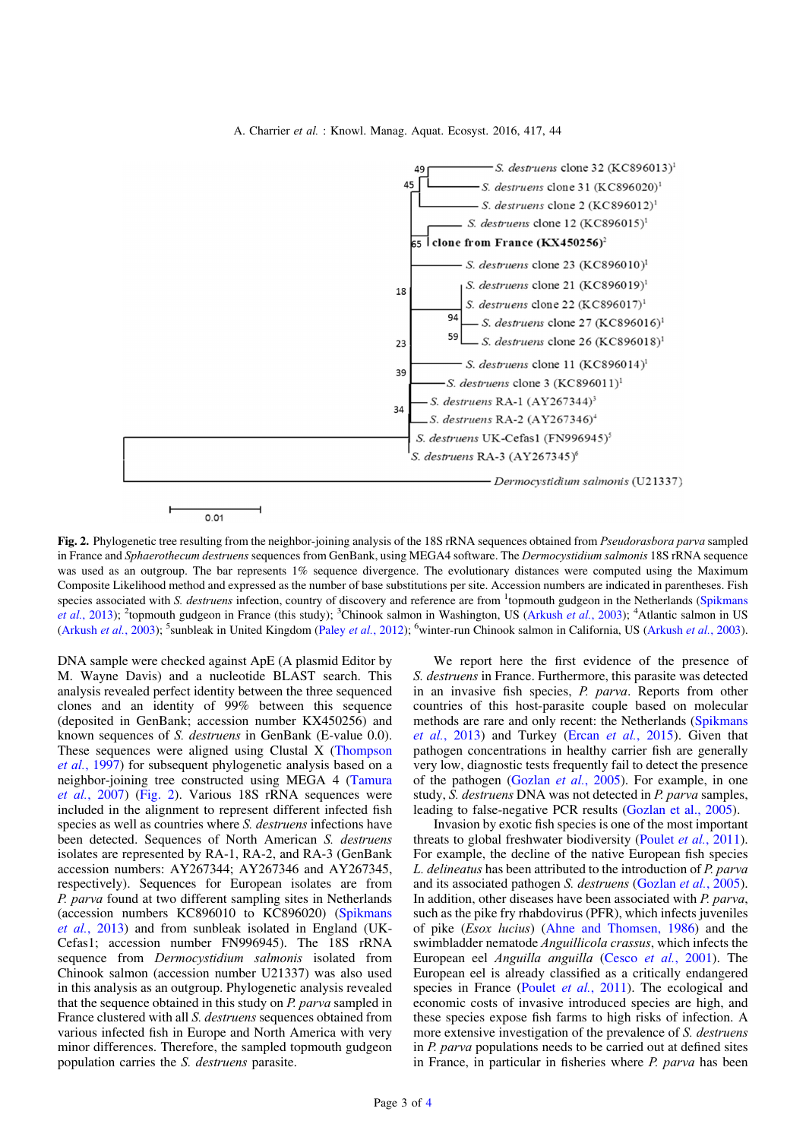A. Charrier et al. : Knowl. Manag. Aquat. Ecosyst. 2016, 417, 44



Fig. 2. Phylogenetic tree resulting from the neighbor-joining analysis of the 18S rRNA sequences obtained from *Pseudorasbora parva* sampled in France and Sphaerothecum destruens sequences from GenBank, using MEGA4 software. The Dermocystidium salmonis 18S rRNA sequence was used as an outgroup. The bar represents 1% sequence divergence. The evolutionary distances were computed using the Maximum Composite Likelihood method and expressed as the number of base substitutions per site. Accession numbers are indicated in parentheses. Fish species associated with S. destruens infection, country of discovery and reference are from <sup>1</sup>topmouth gudgeon in the Netherlands [\(Spikmans](#page-3-0) et al.[, 2013\)](#page-3-0); <sup>2</sup>topmouth gudgeon in France (this study); <sup>3</sup>Chinook salmon in Washington, US ([Arkush](#page-3-0) et al., 2003); <sup>4</sup>Atlantic salmon in US ([Arkush](#page-3-0) et al., 2003); <sup>5</sup>sunbleak in United Kingdom (Paley et al.[, 2012](#page-3-0)); <sup>6</sup>winter-run Chinook salmon in California, US [\(Arkush](#page-3-0) et al., 2003).

DNA sample were checked against ApE (A plasmid Editor by M. Wayne Davis) and a nucleotide BLAST search. This analysis revealed perfect identity between the three sequenced clones and an identity of 99% between this sequence (deposited in GenBank; accession number KX450256) and known sequences of S. destruens in GenBank (E-value 0.0). These sequences were aligned using Clustal X [\(Thompson](#page-3-0) et al.[, 1997](#page-3-0)) for subsequent phylogenetic analysis based on a neighbor-joining tree constructed using MEGA 4 ([Tamura](#page-3-0) et al.[, 2007\)](#page-3-0) (Fig. 2). Various 18S rRNA sequences were included in the alignment to represent different infected fish species as well as countries where S. destruens infections have been detected. Sequences of North American S. *destruens* isolates are represented by RA-1, RA-2, and RA-3 (GenBank accession numbers: AY267344; AY267346 and AY267345, respectively). Sequences for European isolates are from P. parva found at two different sampling sites in Netherlands (accession numbers KC896010 to KC896020) ([Spikmans](#page-3-0) et al.[, 2013\)](#page-3-0) and from sunbleak isolated in England (UK-Cefas1; accession number FN996945). The 18S rRNA sequence from Dermocystidium salmonis isolated from Chinook salmon (accession number U21337) was also used in this analysis as an outgroup. Phylogenetic analysis revealed that the sequence obtained in this study on P. parva sampled in France clustered with all S. destruens sequences obtained from various infected fish in Europe and North America with very minor differences. Therefore, the sampled topmouth gudgeon population carries the S. destruens parasite.

We report here the first evidence of the presence of S. destruens in France. Furthermore, this parasite was detected in an invasive fish species, P. parva. Reports from other countries of this host-parasite couple based on molecular methods are rare and only recent: the Netherlands [\(Spikmans](#page-3-0) et al.[, 2013](#page-3-0)) and Turkey (Ercan et al.[, 2015\)](#page-3-0). Given that pathogen concentrations in healthy carrier fish are generally very low, diagnostic tests frequently fail to detect the presence of the pathogen ([Gozlan](#page-3-0) et al., 2005). For example, in one study, S. destruens DNA was not detected in P. parva samples, leading to false-negative PCR results [\(Gozlan et al., 2005](#page-3-0)).

Invasion by exotic fish species is one of the most important threats to global freshwater biodiversity (Poulet et al.[, 2011\)](#page-3-0). For example, the decline of the native European fish species L. delineatus has been attributed to the introduction of P. parva and its associated pathogen S. destruens ([Gozlan](#page-3-0) et al., 2005). In addition, other diseases have been associated with P. parva, such as the pike fry rhabdovirus (PFR), which infects juveniles of pike (Esox lucius) [\(Ahne and Thomsen, 1986](#page-3-0)) and the swimbladder nematode Anguillicola crassus, which infects the European eel Anguilla anguilla (Cesco et al.[, 2001](#page-3-0)). The European eel is already classified as a critically endangered species in France (Poulet *et al.*[, 2011](#page-3-0)). The ecological and economic costs of invasive introduced species are high, and these species expose fish farms to high risks of infection. A more extensive investigation of the prevalence of S. *destruens* in P. parva populations needs to be carried out at defined sites in France, in particular in fisheries where *P. parva* has been